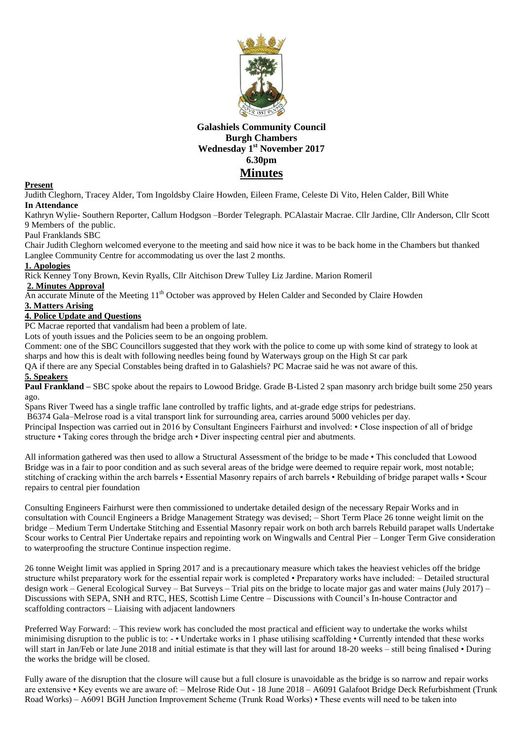

# **Galashiels Community Council Burgh Chambers Wednesday 1 st November 2017 6.30pm Minutes**

### **Present**

Judith Cleghorn, Tracey Alder, Tom Ingoldsby Claire Howden, Eileen Frame, Celeste Di Vito, Helen Calder, Bill White **In Attendance**

Kathryn Wylie- Southern Reporter, Callum Hodgson –Border Telegraph. PCAlastair Macrae. Cllr Jardine, Cllr Anderson, Cllr Scott 9 Members of the public.

#### Paul Franklands SBC

Chair Judith Cleghorn welcomed everyone to the meeting and said how nice it was to be back home in the Chambers but thanked Langlee Community Centre for accommodating us over the last 2 months.

#### **1. Apologies**

Rick Kenney Tony Brown, Kevin Ryalls, Cllr Aitchison Drew Tulley Liz Jardine. Marion Romeril

### **2. Minutes Approval**

An accurate Minute of the Meeting 11<sup>th</sup> October was approved by Helen Calder and Seconded by Claire Howden

# **3. Matters Arising**

# **4. Police Update and Questions**

PC Macrae reported that vandalism had been a problem of late.

Lots of youth issues and the Policies seem to be an ongoing problem.

Comment: one of the SBC Councillors suggested that they work with the police to come up with some kind of strategy to look at sharps and how this is dealt with following needles being found by Waterways group on the High St car park

QA if there are any Special Constables being drafted in to Galashiels? PC Macrae said he was not aware of this.

### **5. Speakers**

**Paul Frankland –** SBC spoke about the repairs to Lowood Bridge. Grade B-Listed 2 span masonry arch bridge built some 250 years ago.

Spans River Tweed has a single traffic lane controlled by traffic lights, and at-grade edge strips for pedestrians.

B6374 Gala–Melrose road is a vital transport link for surrounding area, carries around 5000 vehicles per day.

Principal Inspection was carried out in 2016 by Consultant Engineers Fairhurst and involved: • Close inspection of all of bridge structure • Taking cores through the bridge arch • Diver inspecting central pier and abutments.

All information gathered was then used to allow a Structural Assessment of the bridge to be made • This concluded that Lowood Bridge was in a fair to poor condition and as such several areas of the bridge were deemed to require repair work, most notable; stitching of cracking within the arch barrels • Essential Masonry repairs of arch barrels • Rebuilding of bridge parapet walls • Scour repairs to central pier foundation

Consulting Engineers Fairhurst were then commissioned to undertake detailed design of the necessary Repair Works and in consultation with Council Engineers a Bridge Management Strategy was devised; – Short Term Place 26 tonne weight limit on the bridge – Medium Term Undertake Stitching and Essential Masonry repair work on both arch barrels Rebuild parapet walls Undertake Scour works to Central Pier Undertake repairs and repointing work on Wingwalls and Central Pier – Longer Term Give consideration to waterproofing the structure Continue inspection regime.

26 tonne Weight limit was applied in Spring 2017 and is a precautionary measure which takes the heaviest vehicles off the bridge structure whilst preparatory work for the essential repair work is completed • Preparatory works have included: – Detailed structural design work – General Ecological Survey – Bat Surveys – Trial pits on the bridge to locate major gas and water mains (July 2017) – Discussions with SEPA, SNH and RTC, HES, Scottish Lime Centre – Discussions with Council's In-house Contractor and scaffolding contractors – Liaising with adjacent landowners

Preferred Way Forward: – This review work has concluded the most practical and efficient way to undertake the works whilst minimising disruption to the public is to: - • Undertake works in 1 phase utilising scaffolding • Currently intended that these works will start in Jan/Feb or late June 2018 and initial estimate is that they will last for around 18-20 weeks – still being finalised • During the works the bridge will be closed.

Fully aware of the disruption that the closure will cause but a full closure is unavoidable as the bridge is so narrow and repair works are extensive • Key events we are aware of: – Melrose Ride Out - 18 June 2018 – A6091 Galafoot Bridge Deck Refurbishment (Trunk Road Works) – A6091 BGH Junction Improvement Scheme (Trunk Road Works) • These events will need to be taken into